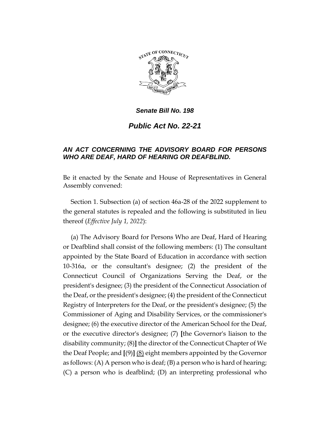

*Senate Bill No. 198*

*Public Act No. 22-21*

## *AN ACT CONCERNING THE ADVISORY BOARD FOR PERSONS WHO ARE DEAF, HARD OF HEARING OR DEAFBLIND.*

Be it enacted by the Senate and House of Representatives in General Assembly convened:

Section 1. Subsection (a) of section 46a-28 of the 2022 supplement to the general statutes is repealed and the following is substituted in lieu thereof (*Effective July 1, 2022*):

(a) The Advisory Board for Persons Who are Deaf, Hard of Hearing or Deafblind shall consist of the following members: (1) The consultant appointed by the State Board of Education in accordance with section 10-316a, or the consultant's designee; (2) the president of the Connecticut Council of Organizations Serving the Deaf, or the president's designee; (3) the president of the Connecticut Association of the Deaf, or the president's designee; (4) the president of the Connecticut Registry of Interpreters for the Deaf, or the president's designee; (5) the Commissioner of Aging and Disability Services, or the commissioner's designee; (6) the executive director of the American School for the Deaf, or the executive director's designee; (7) **[**the Governor's liaison to the disability community; (8)**]** the director of the Connecticut Chapter of We the Deaf People; and **[**(9)**]** (8) eight members appointed by the Governor as follows: (A) A person who is deaf; (B) a person who is hard of hearing; (C) a person who is deafblind; (D) an interpreting professional who